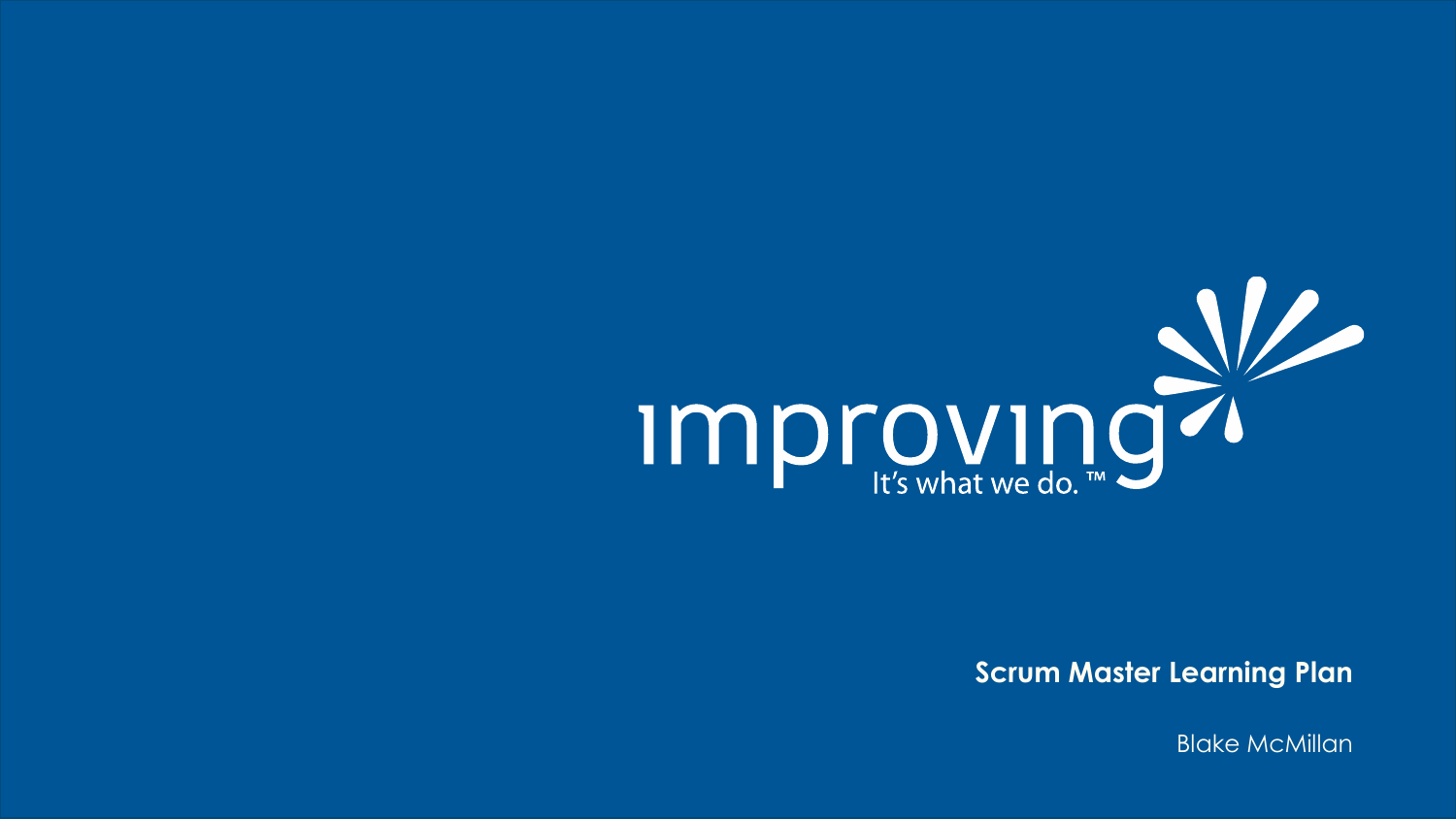

**Scrum Master Learning Plan**

Blake McMillan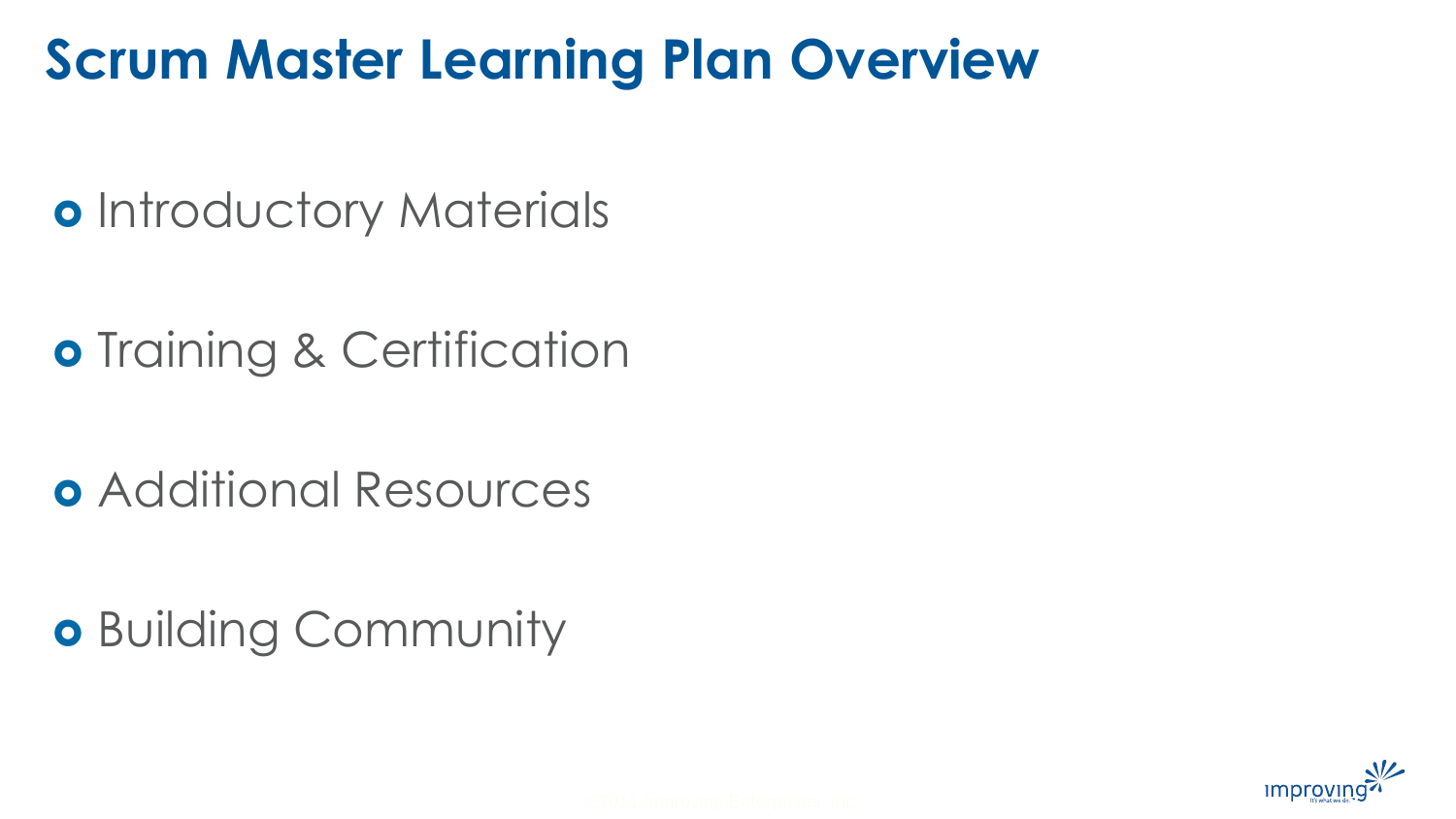### **Scrum Master Learning Plan Overview**

o Introductory Materials

**o** Training & Certification

Additional Resources

**o** Building Community

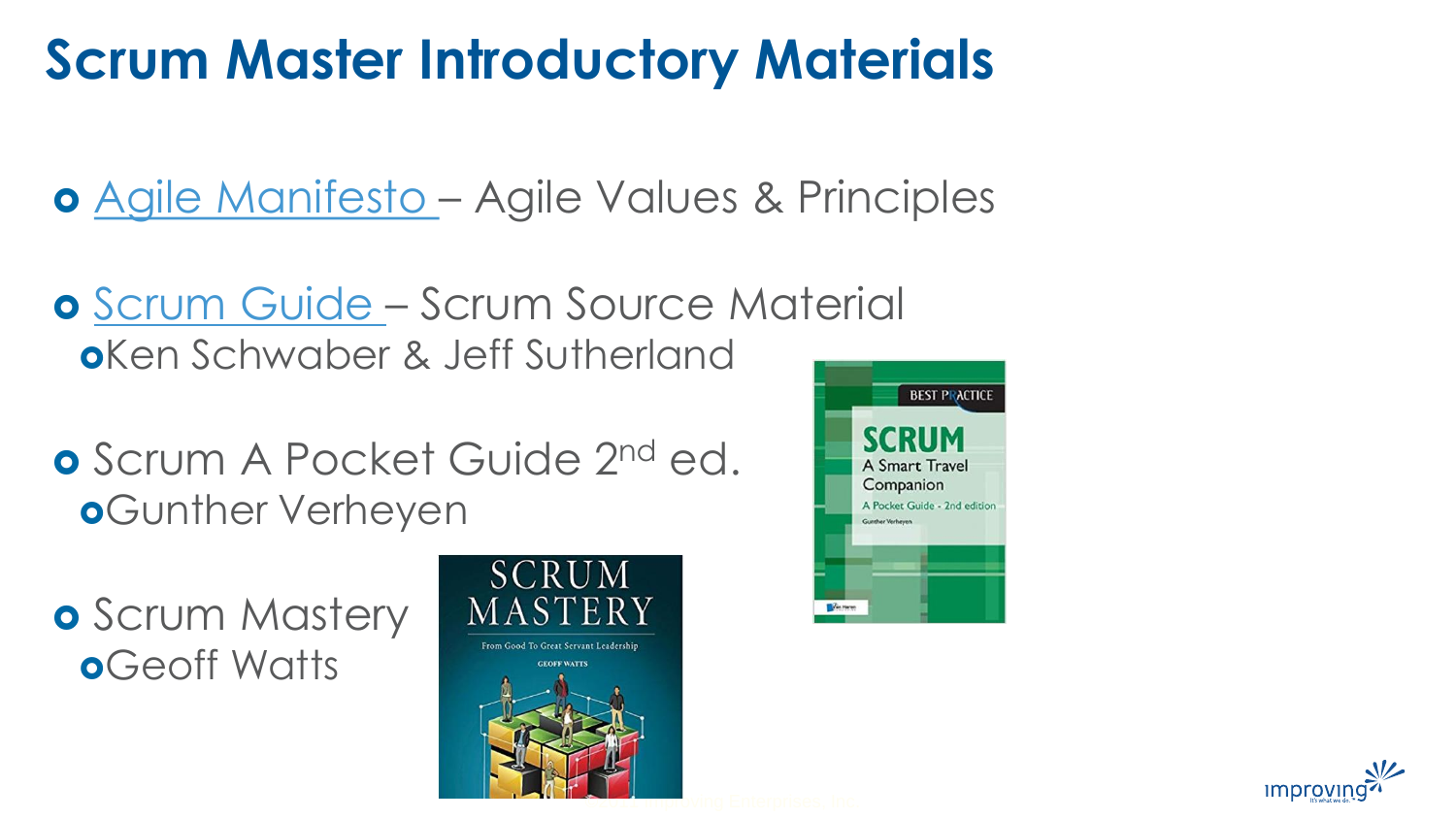# **Scrum Master Introductory Materials**

[Agile Manifesto](http://agilemanifesto.org/) – Agile Values & Principles

- **o** [Scrum Guide](https://www.scrumguides.org/scrum-guide.html)  Scrum Source Material Ken Schwaber & Jeff Sutherland
- **o** Scrum A Pocket Guide 2<sup>nd</sup> ed. **o**Gunther Verheyen

**o** Scrum Mastery **o**Geoff Watts





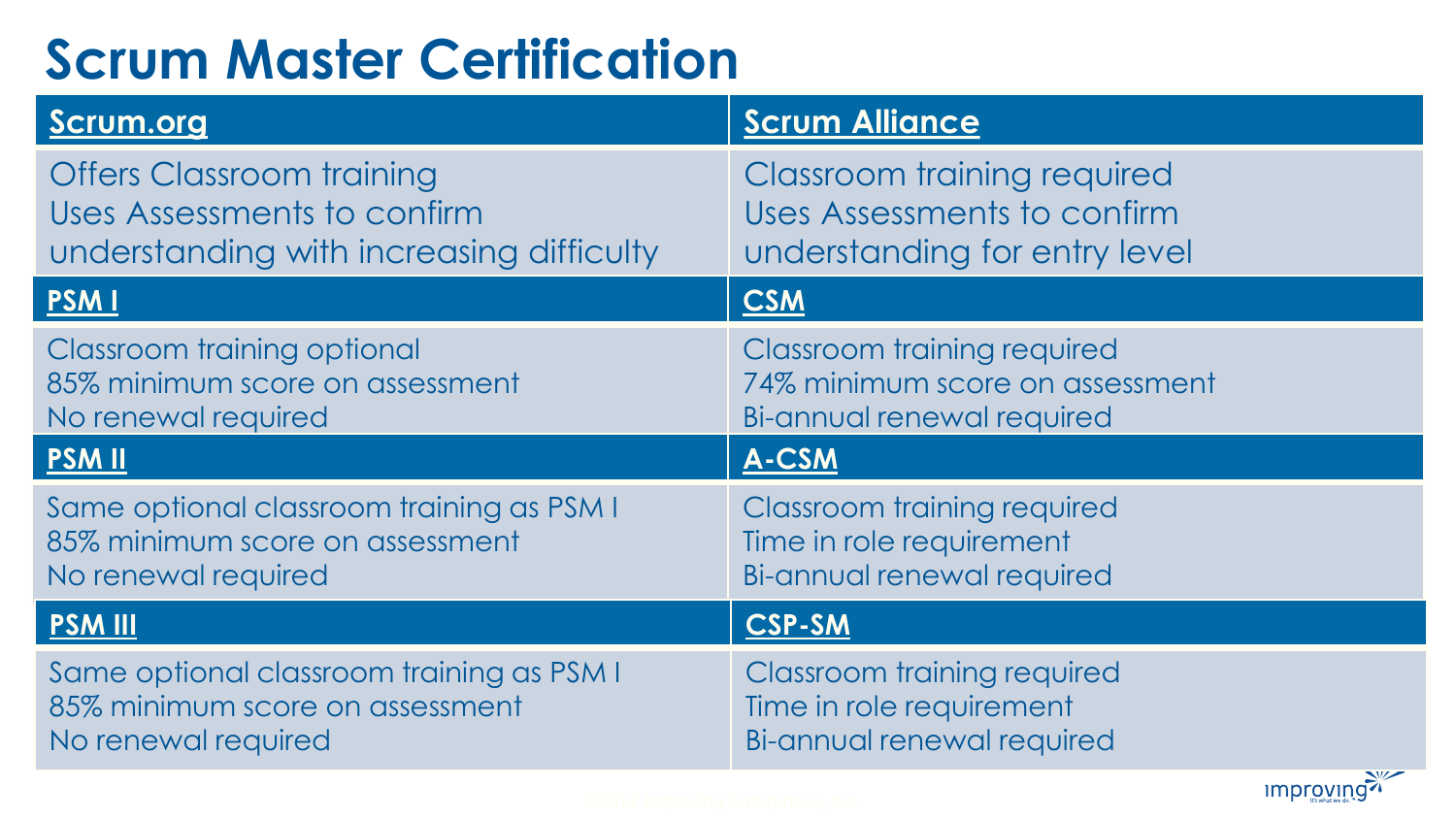# **Scrum Master Certification**

| Scrum.org                                                                                                   | <b>Scrum Alliance</b>                                                                              |
|-------------------------------------------------------------------------------------------------------------|----------------------------------------------------------------------------------------------------|
| <b>Offers Classroom training</b><br>Uses Assessments to confirm<br>understanding with increasing difficulty | <b>Classroom training required</b><br>Uses Assessments to confirm<br>understanding for entry level |
| <b>PSMI</b>                                                                                                 | <b>CSM</b>                                                                                         |
| Classroom training optional<br>85% minimum score on assessment<br>No renewal required                       | Classroom training required<br>74% minimum score on assessment<br>Bi-annual renewal required       |
| <b>PSMII</b>                                                                                                | A-CSM                                                                                              |
| Same optional classroom training as PSM I<br>85% minimum score on assessment<br>No renewal required         | <b>Classroom training required</b><br>Time in role requirement<br>Bi-annual renewal required       |
| <b>PSM III</b>                                                                                              | <b>CSP-SM</b>                                                                                      |
| Same optional classroom training as PSM I<br>85% minimum score on assessment<br>No renewal required         | Classroom training required<br>Time in role requirement<br>Bi-annual renewal required              |
|                                                                                                             | improving?                                                                                         |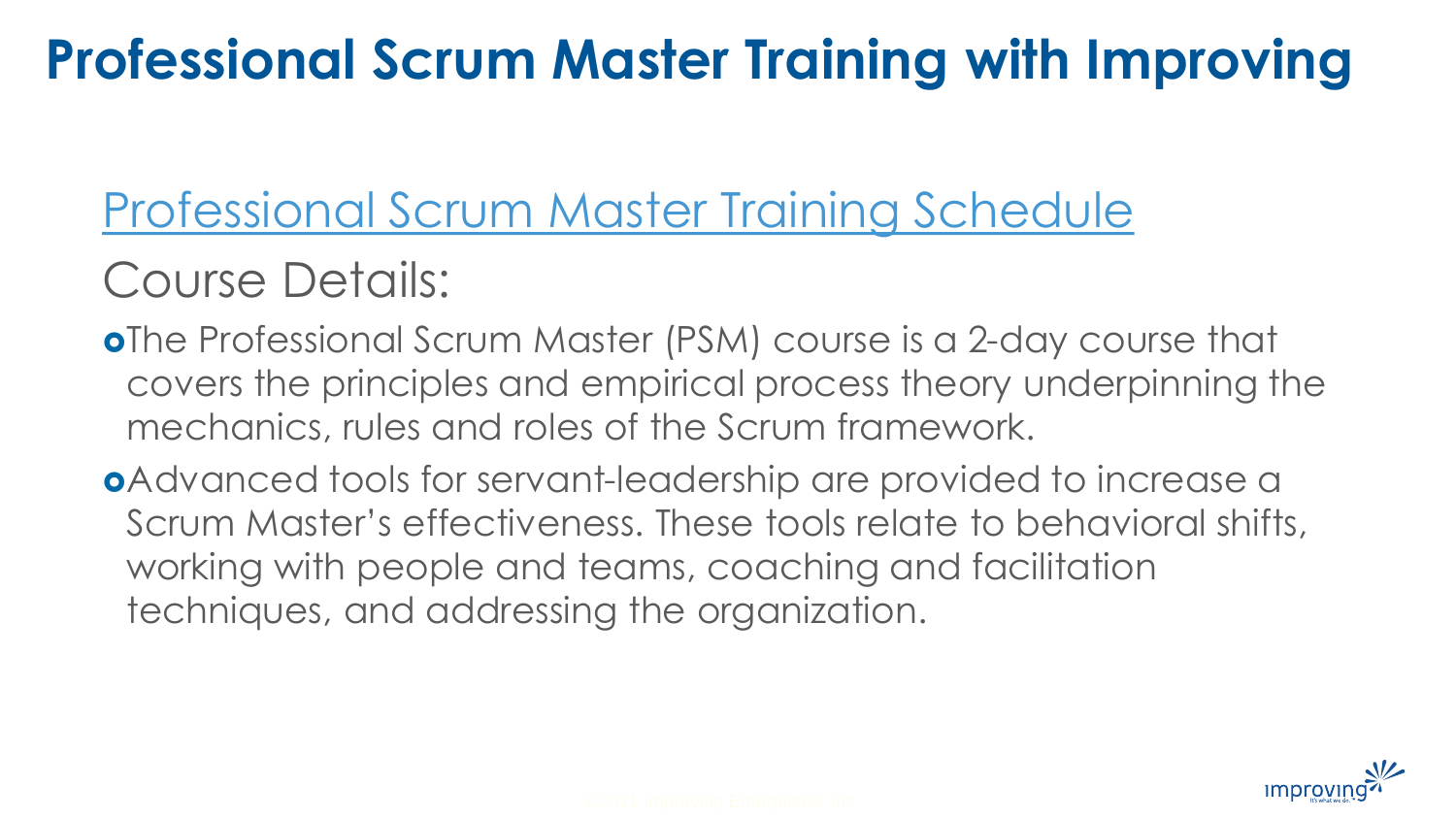### **Professional Scrum Master Training with Improving**

[Professional Scrum Master Training Schedule](https://improving.com/training/class/professional-scrum-master-certification)

### Course Details:

- The Professional Scrum Master (PSM) course is a 2-day course that covers the principles and empirical process theory underpinning the mechanics, rules and roles of the Scrum framework.
- Advanced tools for servant-leadership are provided to increase a Scrum Master's effectiveness. These tools relate to behavioral shifts, working with people and teams, coaching and facilitation techniques, and addressing the organization.

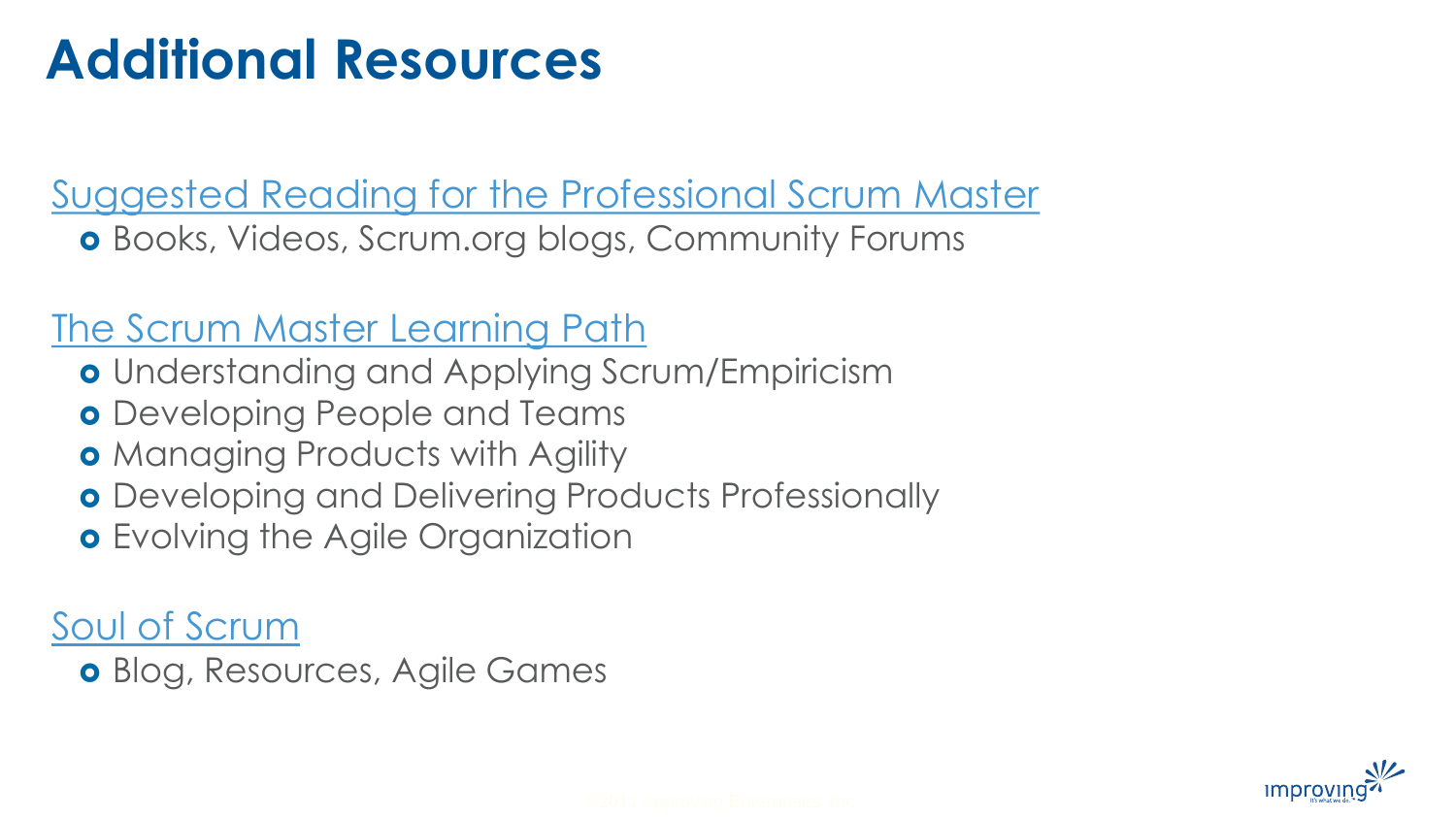### **Additional Resources**

[Suggested Reading for the Professional Scrum Master](https://www.scrum.org/resources/suggested-reading-professional-scrum-master)

Books, Videos, Scrum.org blogs, Community Forums

#### [The Scrum Master Learning Path](https://www.scrum.org/pathway/scrum-master)

- **o** Understanding and Applying Scrum/Empiricism
- **o** Developing People and Teams
- **Managing Products with Agility**
- **o** Developing and Delivering Products Professionally
- **o** Evolving the Agile Organization

[Soul of Scrum](https://soulofscrum.com/)

Blog, Resources, Agile Games